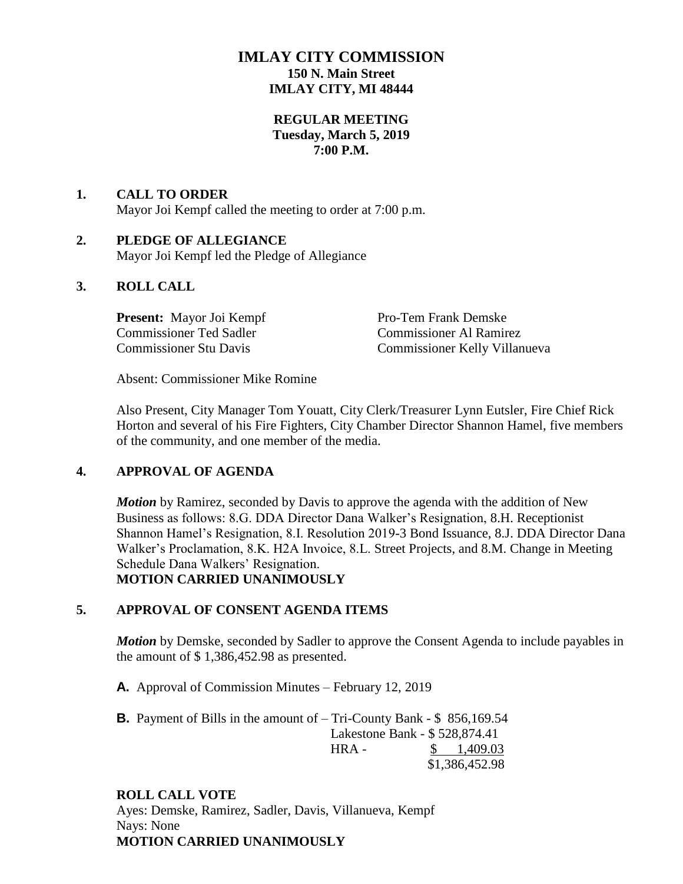# **IMLAY CITY COMMISSION 150 N. Main Street IMLAY CITY, MI 48444**

### **REGULAR MEETING Tuesday, March 5, 2019 7:00 P.M.**

## **1. CALL TO ORDER** Mayor Joi Kempf called the meeting to order at 7:00 p.m.

# **2. PLEDGE OF ALLEGIANCE**

Mayor Joi Kempf led the Pledge of Allegiance

## **3. ROLL CALL**

**Present:** Mayor Joi Kempf Pro-Tem Frank Demske Commissioner Ted Sadler Commissioner Al Ramirez

Commissioner Stu Davis Commissioner Kelly Villanueva

Absent: Commissioner Mike Romine

Also Present, City Manager Tom Youatt, City Clerk/Treasurer Lynn Eutsler, Fire Chief Rick Horton and several of his Fire Fighters, City Chamber Director Shannon Hamel, five members of the community, and one member of the media.

## **4. APPROVAL OF AGENDA**

*Motion* by Ramirez, seconded by Davis to approve the agenda with the addition of New Business as follows: 8.G. DDA Director Dana Walker's Resignation, 8.H. Receptionist Shannon Hamel's Resignation, 8.I. Resolution 2019-3 Bond Issuance, 8.J. DDA Director Dana Walker's Proclamation, 8.K. H2A Invoice, 8.L. Street Projects, and 8.M. Change in Meeting Schedule Dana Walkers' Resignation. **MOTION CARRIED UNANIMOUSLY**

## **5. APPROVAL OF CONSENT AGENDA ITEMS**

*Motion* by Demske, seconded by Sadler to approve the Consent Agenda to include payables in the amount of \$ 1,386,452.98 as presented.

**A.** Approval of Commission Minutes – February 12, 2019

**B.** Payment of Bills in the amount of – Tri-County Bank - \$ 856,169.54 Lakestone Bank - \$ 528,874.41 HRA - \$ 1,409.03 \$1,386,452.98

## **ROLL CALL VOTE**

Ayes: Demske, Ramirez, Sadler, Davis, Villanueva, Kempf Nays: None **MOTION CARRIED UNANIMOUSLY**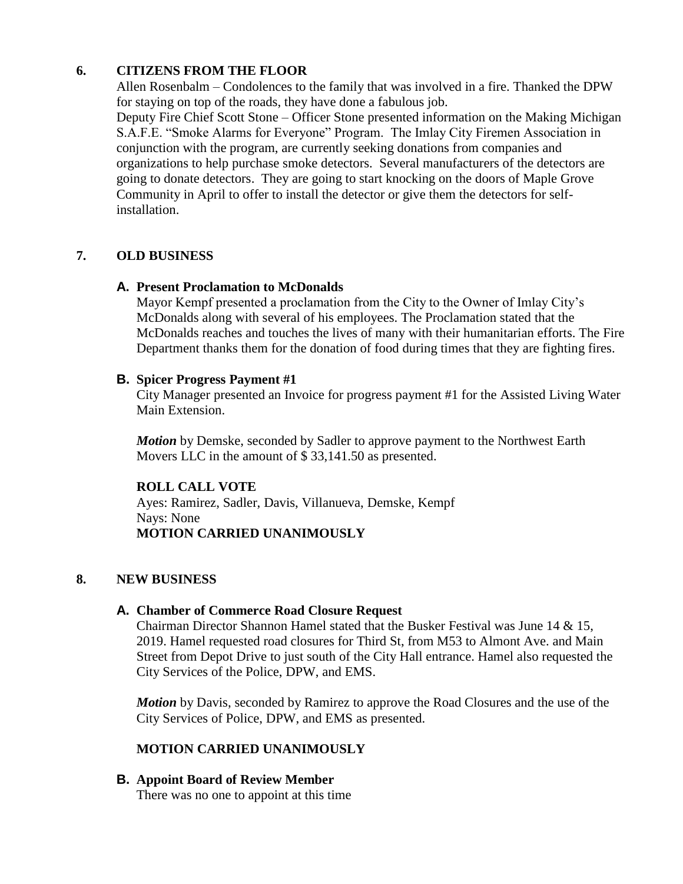# **6. CITIZENS FROM THE FLOOR**

Allen Rosenbalm – Condolences to the family that was involved in a fire. Thanked the DPW for staying on top of the roads, they have done a fabulous job.

Deputy Fire Chief Scott Stone – Officer Stone presented information on the Making Michigan S.A.F.E. "Smoke Alarms for Everyone" Program. The Imlay City Firemen Association in conjunction with the program, are currently seeking donations from companies and organizations to help purchase smoke detectors. Several manufacturers of the detectors are going to donate detectors. They are going to start knocking on the doors of Maple Grove Community in April to offer to install the detector or give them the detectors for selfinstallation.

# **7. OLD BUSINESS**

### **A. Present Proclamation to McDonalds**

Mayor Kempf presented a proclamation from the City to the Owner of Imlay City's McDonalds along with several of his employees. The Proclamation stated that the McDonalds reaches and touches the lives of many with their humanitarian efforts. The Fire Department thanks them for the donation of food during times that they are fighting fires.

### **B. Spicer Progress Payment #1**

City Manager presented an Invoice for progress payment #1 for the Assisted Living Water Main Extension.

*Motion* by Demske, seconded by Sadler to approve payment to the Northwest Earth Movers LLC in the amount of \$33,141.50 as presented.

## **ROLL CALL VOTE**

Ayes: Ramirez, Sadler, Davis, Villanueva, Demske, Kempf Nays: None **MOTION CARRIED UNANIMOUSLY**

## **8. NEW BUSINESS**

### **A. Chamber of Commerce Road Closure Request**

Chairman Director Shannon Hamel stated that the Busker Festival was June 14 & 15, 2019. Hamel requested road closures for Third St, from M53 to Almont Ave. and Main Street from Depot Drive to just south of the City Hall entrance. Hamel also requested the City Services of the Police, DPW, and EMS.

*Motion* by Davis, seconded by Ramirez to approve the Road Closures and the use of the City Services of Police, DPW, and EMS as presented.

## **MOTION CARRIED UNANIMOUSLY**

**B. Appoint Board of Review Member**

There was no one to appoint at this time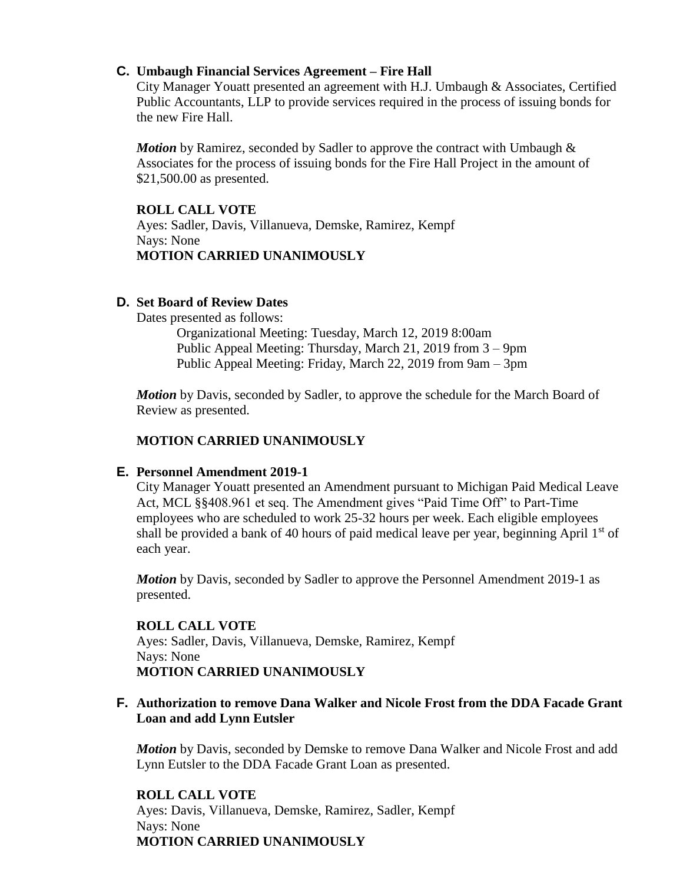### **C. Umbaugh Financial Services Agreement – Fire Hall**

City Manager Youatt presented an agreement with H.J. Umbaugh & Associates, Certified Public Accountants, LLP to provide services required in the process of issuing bonds for the new Fire Hall.

*Motion* by Ramirez, seconded by Sadler to approve the contract with Umbaugh & Associates for the process of issuing bonds for the Fire Hall Project in the amount of \$21,500.00 as presented.

### **ROLL CALL VOTE**

Ayes: Sadler, Davis, Villanueva, Demske, Ramirez, Kempf Nays: None **MOTION CARRIED UNANIMOUSLY**

### **D. Set Board of Review Dates**

Dates presented as follows:

Organizational Meeting: Tuesday, March 12, 2019 8:00am Public Appeal Meeting: Thursday, March 21, 2019 from 3 – 9pm Public Appeal Meeting: Friday, March 22, 2019 from 9am – 3pm

*Motion* by Davis, seconded by Sadler, to approve the schedule for the March Board of Review as presented.

### **MOTION CARRIED UNANIMOUSLY**

### **E. Personnel Amendment 2019-1**

City Manager Youatt presented an Amendment pursuant to Michigan Paid Medical Leave Act, MCL §§408.961 et seq. The Amendment gives "Paid Time Off" to Part-Time employees who are scheduled to work 25-32 hours per week. Each eligible employees shall be provided a bank of 40 hours of paid medical leave per year, beginning April  $1<sup>st</sup>$  of each year.

*Motion* by Davis, seconded by Sadler to approve the Personnel Amendment 2019-1 as presented.

### **ROLL CALL VOTE**

Ayes: Sadler, Davis, Villanueva, Demske, Ramirez, Kempf Nays: None **MOTION CARRIED UNANIMOUSLY**

### **F. Authorization to remove Dana Walker and Nicole Frost from the DDA Facade Grant Loan and add Lynn Eutsler**

*Motion* by Davis, seconded by Demske to remove Dana Walker and Nicole Frost and add Lynn Eutsler to the DDA Facade Grant Loan as presented.

### **ROLL CALL VOTE**

Ayes: Davis, Villanueva, Demske, Ramirez, Sadler, Kempf Nays: None **MOTION CARRIED UNANIMOUSLY**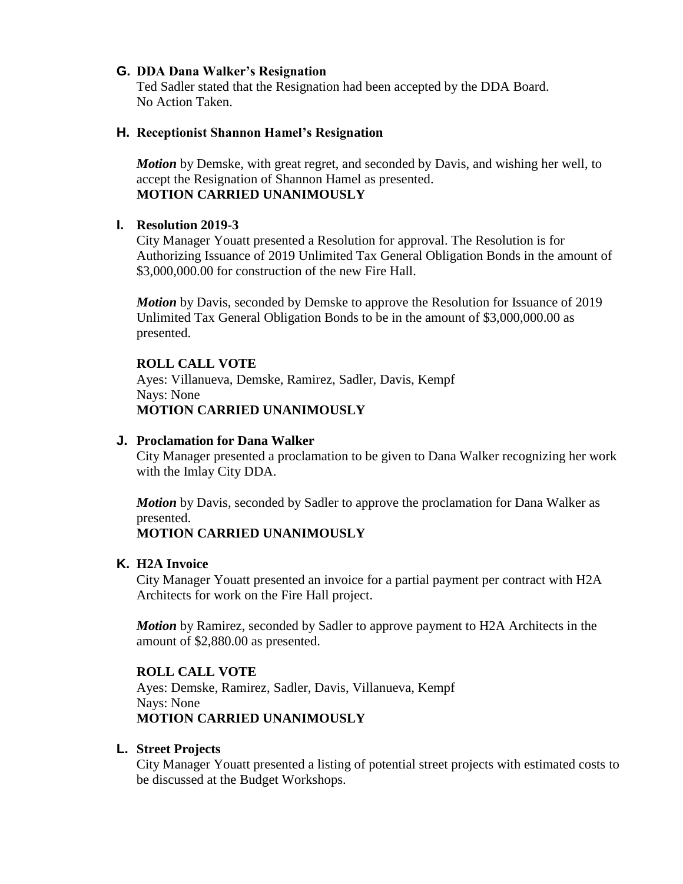### **G. DDA Dana Walker's Resignation**

Ted Sadler stated that the Resignation had been accepted by the DDA Board. No Action Taken.

#### **H. Receptionist Shannon Hamel's Resignation**

*Motion* by Demske, with great regret, and seconded by Davis, and wishing her well, to accept the Resignation of Shannon Hamel as presented. **MOTION CARRIED UNANIMOUSLY**

### **I. Resolution 2019-3**

City Manager Youatt presented a Resolution for approval. The Resolution is for Authorizing Issuance of 2019 Unlimited Tax General Obligation Bonds in the amount of \$3,000,000,000 for construction of the new Fire Hall.

*Motion* by Davis, seconded by Demske to approve the Resolution for Issuance of 2019 Unlimited Tax General Obligation Bonds to be in the amount of \$3,000,000.00 as presented.

#### **ROLL CALL VOTE**

Ayes: Villanueva, Demske, Ramirez, Sadler, Davis, Kempf Nays: None **MOTION CARRIED UNANIMOUSLY**

#### **J. Proclamation for Dana Walker**

City Manager presented a proclamation to be given to Dana Walker recognizing her work with the Imlay City DDA.

*Motion* by Davis, seconded by Sadler to approve the proclamation for Dana Walker as presented.

### **MOTION CARRIED UNANIMOUSLY**

#### **K. H2A Invoice**

City Manager Youatt presented an invoice for a partial payment per contract with H2A Architects for work on the Fire Hall project.

*Motion* by Ramirez, seconded by Sadler to approve payment to H2A Architects in the amount of \$2,880.00 as presented.

### **ROLL CALL VOTE**

Ayes: Demske, Ramirez, Sadler, Davis, Villanueva, Kempf Nays: None **MOTION CARRIED UNANIMOUSLY**

#### **L. Street Projects**

City Manager Youatt presented a listing of potential street projects with estimated costs to be discussed at the Budget Workshops.